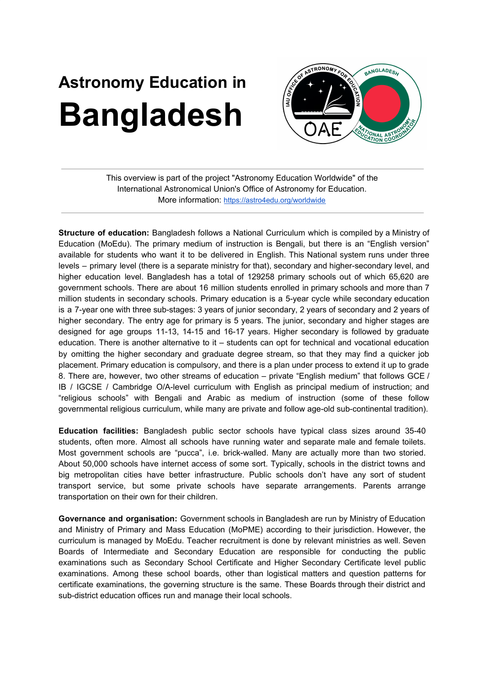## **Astronomy Education in Bangladesh**



This overview is part of the project "Astronomy Education Worldwide" of the International Astronomical Union's Office of Astronomy for Education. More information: <https://astro4edu.org/worldwide>

**Structure of education:** Bangladesh follows a National Curriculum which is compiled by a Ministry of Education (MoEdu). The primary medium of instruction is Bengali, but there is an "English version" available for students who want it to be delivered in English. This National system runs under three levels – primary level (there is a separate ministry for that), secondary and higher-secondary level, and higher education level. Bangladesh has a total of 129258 primary schools out of which 65,620 are government schools. There are about 16 million students enrolled in primary schools and more than 7 million students in secondary schools. Primary education is a 5-year cycle while secondary education is a 7-year one with three sub-stages: 3 years of junior secondary, 2 years of secondary and 2 years of higher secondary. The entry age for primary is 5 years. The junior, secondary and higher stages are designed for age groups 11-13, 14-15 and 16-17 years. Higher secondary is followed by graduate education. There is another alternative to it – students can opt for technical and vocational education by omitting the higher secondary and graduate degree stream, so that they may find a quicker job placement. Primary education is compulsory, and there is a plan under process to extend it up to grade 8. There are, however, two other streams of education – private "English medium" that follows GCE / IB / IGCSE / Cambridge O/A-level curriculum with English as principal medium of instruction; and "religious schools" with Bengali and Arabic as medium of instruction (some of these follow governmental religious curriculum, while many are private and follow age-old sub-continental tradition).

**Education facilities:** Bangladesh public sector schools have typical class sizes around 35-40 students, often more. Almost all schools have running water and separate male and female toilets. Most government schools are "pucca", i.e. brick-walled. Many are actually more than two storied. About 50,000 schools have internet access of some sort. Typically, schools in the district towns and big metropolitan cities have better infrastructure. Public schools don't have any sort of student transport service, but some private schools have separate arrangements. Parents arrange transportation on their own for their children.

**Governance and organisation:** Government schools in Bangladesh are run by Ministry of Education and Ministry of Primary and Mass Education (MoPME) according to their jurisdiction. However, the curriculum is managed by MoEdu. Teacher recruitment is done by relevant ministries as well. Seven Boards of Intermediate and Secondary Education are responsible for conducting the public examinations such as Secondary School Certificate and Higher Secondary Certificate level public examinations. Among these school boards, other than logistical matters and question patterns for certificate examinations, the governing structure is the same. These Boards through their district and sub-district education offices run and manage their local schools.